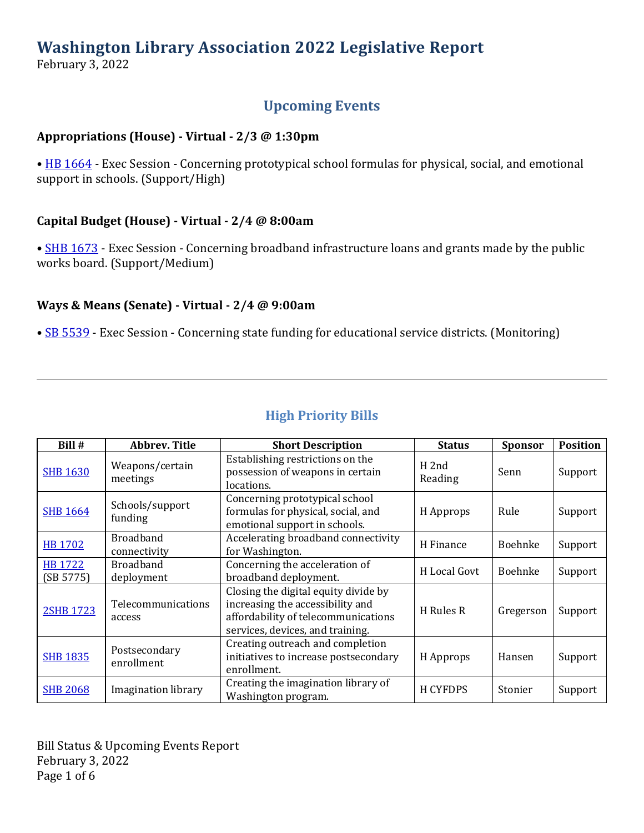# **Washington Library Association 2022 Legislative Report**

February 3, 2022

# **Upcoming Events**

#### **Appropriations (House) - Virtual - 2/3 @ 1:30pm**

• [HB 1664](https://app.leg.wa.gov/billsummary?Year=2021&BillNumber=1664) - Exec Session - Concerning prototypical school formulas for physical, social, and emotional support in schools. (Support/High)

#### **Capital Budget (House) - Virtual - 2/4 @ 8:00am**

• [SHB 1673](https://app.leg.wa.gov/billsummary?Year=2021&BillNumber=1673) - Exec Session - Concerning broadband infrastructure loans and grants made by the public works board. (Support/Medium)

#### **Ways & Means (Senate) - Virtual - 2/4 @ 9:00am**

• [SB 5539](https://app.leg.wa.gov/billsummary?Year=2021&BillNumber=5539) - Exec Session - Concerning state funding for educational service districts. (Monitoring)

| Bill #               | <b>Abbrev. Title</b>             | <b>Short Description</b>                                                                                                                            | <b>Status</b>               | <b>Sponsor</b> | <b>Position</b> |
|----------------------|----------------------------------|-----------------------------------------------------------------------------------------------------------------------------------------------------|-----------------------------|----------------|-----------------|
| <b>SHB 1630</b>      | Weapons/certain<br>meetings      | Establishing restrictions on the<br>possession of weapons in certain<br>locations.                                                                  | H <sub>2nd</sub><br>Reading | Senn           | Support         |
| <b>SHB 1664</b>      | Schools/support<br>funding       | Concerning prototypical school<br>formulas for physical, social, and<br>emotional support in schools.                                               | H Approps                   | Rule           | Support         |
| <b>HB 1702</b>       | <b>Broadband</b><br>connectivity | Accelerating broadband connectivity<br>for Washington.                                                                                              | H Finance                   | Boehnke        | Support         |
| HB 1722<br>(SB 5775) | <b>Broadband</b><br>deployment   | Concerning the acceleration of<br>broadband deployment.                                                                                             | H Local Govt                | Boehnke        | Support         |
| <b>2SHB 1723</b>     | Telecommunications<br>access     | Closing the digital equity divide by<br>increasing the accessibility and<br>affordability of telecommunications<br>services, devices, and training. | H Rules R                   | Gregerson      | Support         |
| <b>SHB 1835</b>      | Postsecondary<br>enrollment      | Creating outreach and completion<br>initiatives to increase postsecondary<br>enrollment.                                                            | H Approps                   | Hansen         | Support         |
| <b>SHB 2068</b>      | Imagination library              | Creating the imagination library of<br>Washington program.                                                                                          | <b>H CYFDPS</b>             | Stonier        | Support         |

Bill Status & Upcoming Events Report February 3, 2022 Page 1 of 6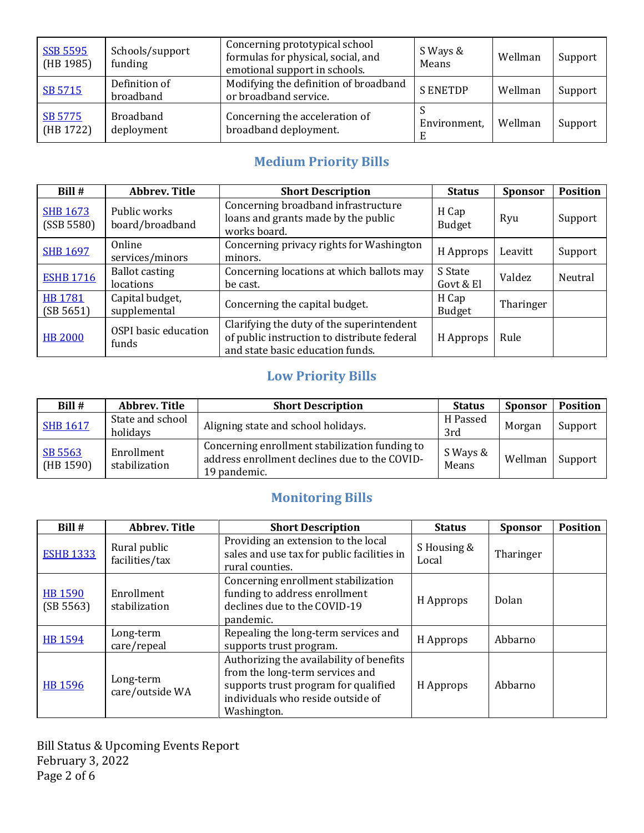| <b>SSB 5595</b><br>(HB 1985) | Schools/support<br>funding     | Concerning prototypical school<br>formulas for physical, social, and<br>emotional support in schools. | S Ways &<br>Means | Wellman | Support |
|------------------------------|--------------------------------|-------------------------------------------------------------------------------------------------------|-------------------|---------|---------|
| SB 5715                      | Definition of<br>broadband     | Modifying the definition of broadband<br>or broadband service.                                        | <b>SENETDP</b>    | Wellman | Support |
| SB 5775<br>(HB 1722)         | <b>Broadband</b><br>deployment | Concerning the acceleration of<br>broadband deployment.                                               | Environment,      | Wellman | Support |

# **Medium Priority Bills**

| Bill#                         | <b>Abbrev. Title</b>                 | <b>Short Description</b>                                                                                                     | <b>Status</b>          | <b>Sponsor</b> | <b>Position</b> |
|-------------------------------|--------------------------------------|------------------------------------------------------------------------------------------------------------------------------|------------------------|----------------|-----------------|
| <b>SHB 1673</b><br>(SSB 5580) | Public works<br>board/broadband      | Concerning broadband infrastructure<br>loans and grants made by the public<br>works board.                                   | H Cap<br><b>Budget</b> | Ryu            | Support         |
| <b>SHB 1697</b>               | Online<br>services/minors            | Concerning privacy rights for Washington<br>minors.                                                                          | H Approps              | Leavitt        | Support         |
| <b>ESHB 1716</b>              | <b>Ballot casting</b><br>locations   | Concerning locations at which ballots may<br>be cast.                                                                        | S State<br>Govt & El   | Valdez         | Neutral         |
| <b>HB1781</b><br>(SB 5651)    | Capital budget,<br>supplemental      | Concerning the capital budget.                                                                                               | H Cap<br><b>Budget</b> | Tharinger      |                 |
| <b>HB 2000</b>                | <b>OSPI</b> basic education<br>funds | Clarifying the duty of the superintendent<br>of public instruction to distribute federal<br>and state basic education funds. | H Approps              | Rule           |                 |

# **Low Priority Bills**

| Bill #               | <b>Abbrev. Title</b>         | <b>Short Description</b>                                                                                        | <b>Status</b>     | <b>Sponsor</b> | <b>Position</b> |
|----------------------|------------------------------|-----------------------------------------------------------------------------------------------------------------|-------------------|----------------|-----------------|
| <b>SHB 1617</b>      | State and school<br>holidays | Aligning state and school holidays.                                                                             | H Passed<br>3rd   | Morgan         | Support         |
| SB 5563<br>(HB 1590) | Enrollment<br>stabilization  | Concerning enrollment stabilization funding to<br>address enrollment declines due to the COVID-<br>19 pandemic. | S Ways &<br>Means | Wellman        | Support         |

# **Monitoring Bills**

| Bill #               | <b>Abbrev. Title</b>           | <b>Short Description</b>                                                                                                                                                | <b>Status</b>        | <b>Sponsor</b> | <b>Position</b> |
|----------------------|--------------------------------|-------------------------------------------------------------------------------------------------------------------------------------------------------------------------|----------------------|----------------|-----------------|
| <b>ESHB 1333</b>     | Rural public<br>facilities/tax | Providing an extension to the local<br>sales and use tax for public facilities in<br>rural counties.                                                                    | S Housing &<br>Local | Tharinger      |                 |
| HB 1590<br>(SB 5563) | Enrollment<br>stabilization    | Concerning enrollment stabilization<br>funding to address enrollment<br>declines due to the COVID-19<br>pandemic.                                                       | H Approps            | Dolan          |                 |
| <b>HB 1594</b>       | Long-term<br>care/repeal       | Repealing the long-term services and<br>supports trust program.                                                                                                         | H Approps            | Abbarno        |                 |
| HB 1596              | Long-term<br>care/outside WA   | Authorizing the availability of benefits<br>from the long-term services and<br>supports trust program for qualified<br>individuals who reside outside of<br>Washington. | H Approps            | Abbarno        |                 |

Bill Status & Upcoming Events Report February 3, 2022 Page 2 of 6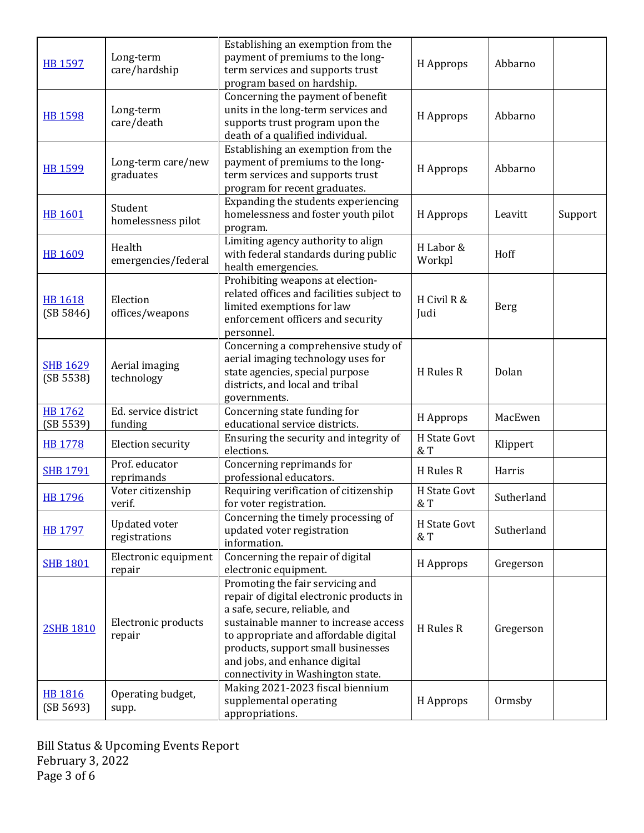| <b>HB 1597</b>               | Long-term<br>care/hardship            | Establishing an exemption from the<br>payment of premiums to the long-<br>term services and supports trust<br>program based on hardship.                                                                                                                                                                    | H Approps           | Abbarno    |         |
|------------------------------|---------------------------------------|-------------------------------------------------------------------------------------------------------------------------------------------------------------------------------------------------------------------------------------------------------------------------------------------------------------|---------------------|------------|---------|
| <b>HB 1598</b>               | Long-term<br>care/death               | Concerning the payment of benefit<br>units in the long-term services and<br>supports trust program upon the<br>death of a qualified individual.                                                                                                                                                             | H Approps           | Abbarno    |         |
| <b>HB 1599</b>               | Long-term care/new<br>graduates       | Establishing an exemption from the<br>payment of premiums to the long-<br>term services and supports trust<br>program for recent graduates.                                                                                                                                                                 | H Approps           | Abbarno    |         |
| <b>HB 1601</b>               | Student<br>homelessness pilot         | Expanding the students experiencing<br>homelessness and foster youth pilot<br>program.                                                                                                                                                                                                                      | H Approps           | Leavitt    | Support |
| <b>HB 1609</b>               | Health<br>emergencies/federal         | Limiting agency authority to align<br>with federal standards during public<br>health emergencies.                                                                                                                                                                                                           | H Labor &<br>Workpl | Hoff       |         |
| <b>HB 1618</b><br>(SB 5846)  | Election<br>offices/weapons           | Prohibiting weapons at election-<br>related offices and facilities subject to<br>limited exemptions for law<br>enforcement officers and security<br>personnel.                                                                                                                                              | H Civil R &<br>Judi | Berg       |         |
| <b>SHB 1629</b><br>(SB 5538) | Aerial imaging<br>technology          | Concerning a comprehensive study of<br>aerial imaging technology uses for<br>state agencies, special purpose<br>districts, and local and tribal<br>governments.                                                                                                                                             | H Rules R           | Dolan      |         |
| HB 1762<br>(SB 5539)         | Ed. service district<br>funding       | Concerning state funding for<br>educational service districts.                                                                                                                                                                                                                                              | H Approps           | MacEwen    |         |
| <b>HB 1778</b>               | <b>Election security</b>              | Ensuring the security and integrity of<br>elections.                                                                                                                                                                                                                                                        | H State Govt<br>& T | Klippert   |         |
| <b>SHB 1791</b>              | Prof. educator<br>reprimands          | Concerning reprimands for<br>professional educators.                                                                                                                                                                                                                                                        | H Rules R           | Harris     |         |
| HB 1796                      | Voter citizenship<br>verif.           | Requiring verification of citizenship<br>for voter registration.                                                                                                                                                                                                                                            | H State Govt<br>& T | Sutherland |         |
| <b>HB 1797</b>               | <b>Updated voter</b><br>registrations | Concerning the timely processing of<br>updated voter registration<br>information.                                                                                                                                                                                                                           | H State Govt<br>& T | Sutherland |         |
| <b>SHB 1801</b>              | Electronic equipment<br>repair        | Concerning the repair of digital<br>electronic equipment.                                                                                                                                                                                                                                                   | H Approps           | Gregerson  |         |
| 2SHB 1810                    | Electronic products<br>repair         | Promoting the fair servicing and<br>repair of digital electronic products in<br>a safe, secure, reliable, and<br>sustainable manner to increase access<br>to appropriate and affordable digital<br>products, support small businesses<br>and jobs, and enhance digital<br>connectivity in Washington state. | H Rules R           | Gregerson  |         |
| <b>HB 1816</b><br>(SB 5693)  | Operating budget,<br>supp.            | Making 2021-2023 fiscal biennium<br>supplemental operating<br>appropriations.                                                                                                                                                                                                                               | H Approps           | Ormsby     |         |

Bill Status & Upcoming Events Report February 3, 2022 Page 3 of 6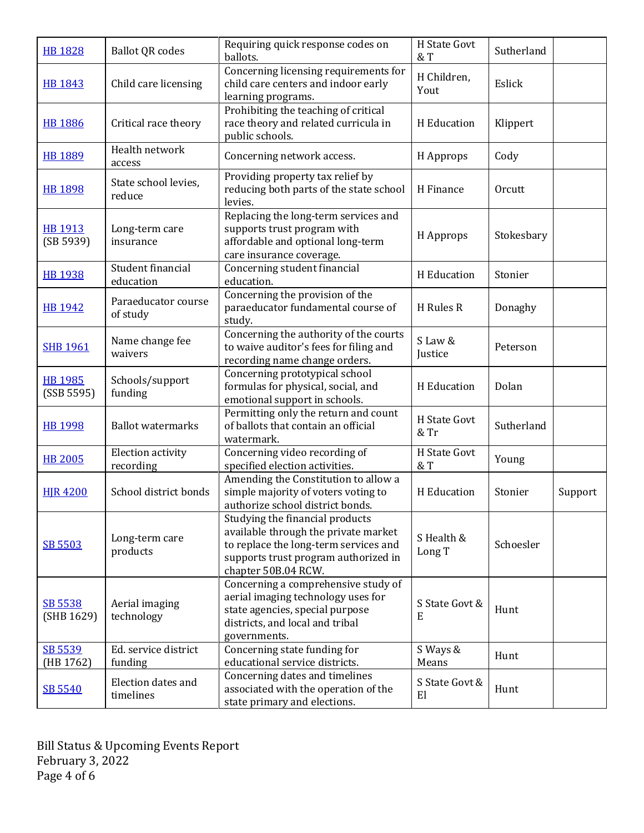| <b>HB 1828</b>               | <b>Ballot QR codes</b>          | Requiring quick response codes on<br>ballots.                                                                                                                                   | H State Govt<br>$&$ T | Sutherland |         |
|------------------------------|---------------------------------|---------------------------------------------------------------------------------------------------------------------------------------------------------------------------------|-----------------------|------------|---------|
| HB 1843                      | Child care licensing            | Concerning licensing requirements for<br>child care centers and indoor early<br>learning programs.                                                                              | H Children,<br>Yout   | Eslick     |         |
| <b>HB 1886</b>               | Critical race theory            | Prohibiting the teaching of critical<br>race theory and related curricula in<br>public schools.                                                                                 | H Education           | Klippert   |         |
| <b>HB 1889</b>               | Health network<br>access        | Concerning network access.                                                                                                                                                      | H Approps             | Cody       |         |
| <b>HB 1898</b>               | State school levies,<br>reduce  | Providing property tax relief by<br>reducing both parts of the state school<br>levies.                                                                                          | H Finance             | Orcutt     |         |
| <b>HB 1913</b><br>(SB 5939)  | Long-term care<br>insurance     | Replacing the long-term services and<br>supports trust program with<br>affordable and optional long-term<br>care insurance coverage.                                            | H Approps             | Stokesbary |         |
| <b>HB 1938</b>               | Student financial<br>education  | Concerning student financial<br>education.                                                                                                                                      | H Education           | Stonier    |         |
| <b>HB 1942</b>               | Paraeducator course<br>of study | Concerning the provision of the<br>paraeducator fundamental course of<br>study.                                                                                                 | H Rules R             | Donaghy    |         |
| <b>SHB 1961</b>              | Name change fee<br>waivers      | Concerning the authority of the courts<br>to waive auditor's fees for filing and<br>recording name change orders.                                                               | S Law &<br>Justice    | Peterson   |         |
| <b>HB 1985</b><br>(SSB 5595) | Schools/support<br>funding      | Concerning prototypical school<br>formulas for physical, social, and<br>emotional support in schools.                                                                           | H Education           | Dolan      |         |
| <b>HB 1998</b>               | <b>Ballot watermarks</b>        | Permitting only the return and count<br>of ballots that contain an official<br>watermark.                                                                                       | H State Govt<br>& Tr  | Sutherland |         |
| <b>HB 2005</b>               | Election activity<br>recording  | Concerning video recording of<br>specified election activities.                                                                                                                 | H State Govt<br>$&$ T | Young      |         |
| <b>HIR 4200</b>              | School district bonds           | Amending the Constitution to allow a<br>simple majority of voters voting to<br>authorize school district bonds.                                                                 | H Education           | Stonier    | Support |
| SB 5503                      | Long-term care<br>products      | Studying the financial products<br>available through the private market<br>to replace the long-term services and<br>supports trust program authorized in<br>chapter 50B.04 RCW. | S Health &<br>Long T  | Schoesler  |         |
| SB 5538<br>(SHB 1629)        | Aerial imaging<br>technology    | Concerning a comprehensive study of<br>aerial imaging technology uses for<br>state agencies, special purpose<br>districts, and local and tribal<br>governments.                 | S State Govt &<br>E   | Hunt       |         |
| SB 5539<br>(HB 1762)         | Ed. service district<br>funding | Concerning state funding for<br>educational service districts.                                                                                                                  | S Ways &<br>Means     | Hunt       |         |
| SB 5540                      | Election dates and<br>timelines | Concerning dates and timelines<br>associated with the operation of the<br>state primary and elections.                                                                          | S State Govt &<br>E1  | Hunt       |         |

Bill Status & Upcoming Events Report February 3, 2022 Page 4 of 6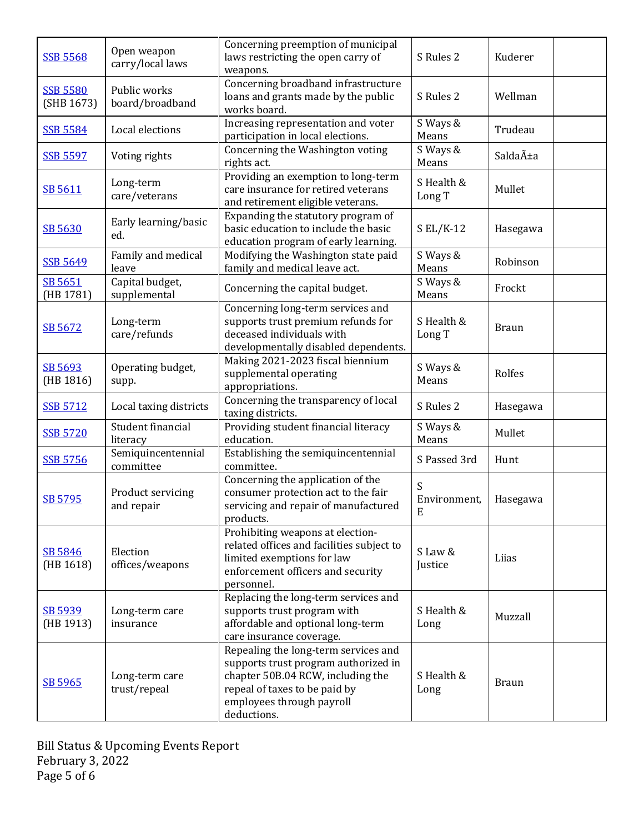| <b>SSB 5568</b>               | Open weapon<br>carry/local laws | Concerning preemption of municipal<br>laws restricting the open carry of<br>weapons.                                                                                                           | S Rules 2              | Kuderer      |
|-------------------------------|---------------------------------|------------------------------------------------------------------------------------------------------------------------------------------------------------------------------------------------|------------------------|--------------|
| <b>SSB 5580</b><br>(SHB 1673) | Public works<br>board/broadband | Concerning broadband infrastructure<br>loans and grants made by the public<br>works board.                                                                                                     | S Rules 2              | Wellman      |
| <b>SSB 5584</b>               | Local elections                 | Increasing representation and voter<br>participation in local elections.                                                                                                                       | S Ways &<br>Means      | Trudeau      |
| <b>SSB 5597</b>               | Voting rights                   | Concerning the Washington voting<br>rights act.                                                                                                                                                | S Ways &<br>Means      | Saldaña      |
| SB 5611                       | Long-term<br>care/veterans      | Providing an exemption to long-term<br>care insurance for retired veterans<br>and retirement eligible veterans.                                                                                | S Health &<br>Long T   | Mullet       |
| SB 5630                       | Early learning/basic<br>ed.     | Expanding the statutory program of<br>basic education to include the basic<br>education program of early learning.                                                                             | $S$ EL/K-12            | Hasegawa     |
| <b>SSB 5649</b>               | Family and medical<br>leave     | Modifying the Washington state paid<br>family and medical leave act.                                                                                                                           | S Ways &<br>Means      | Robinson     |
| SB 5651<br>(HB 1781)          | Capital budget,<br>supplemental | Concerning the capital budget.                                                                                                                                                                 | S Ways &<br>Means      | Frockt       |
| SB 5672                       | Long-term<br>care/refunds       | Concerning long-term services and<br>supports trust premium refunds for<br>deceased individuals with<br>developmentally disabled dependents.                                                   | S Health &<br>Long T   | <b>Braun</b> |
| SB 5693<br>(HB 1816)          | Operating budget,<br>supp.      | Making 2021-2023 fiscal biennium<br>supplemental operating<br>appropriations.                                                                                                                  | S Ways &<br>Means      | Rolfes       |
| <b>SSB 5712</b>               | Local taxing districts          | Concerning the transparency of local<br>taxing districts.                                                                                                                                      | S Rules 2              | Hasegawa     |
| <b>SSB 5720</b>               | Student financial<br>literacy   | Providing student financial literacy<br>education.                                                                                                                                             | S Ways &<br>Means      | Mullet       |
| <b>SSB 5756</b>               | Semiquincentennial<br>committee | Establishing the semiquincentennial<br>committee.                                                                                                                                              | S Passed 3rd           | Hunt         |
| SB 5795                       | Product servicing<br>and repair | Concerning the application of the<br>consumer protection act to the fair<br>servicing and repair of manufactured<br>products.                                                                  | S<br>Environment,<br>Ε | Hasegawa     |
| SB 5846<br>(HB 1618)          | Election<br>offices/weapons     | Prohibiting weapons at election-<br>related offices and facilities subject to<br>limited exemptions for law<br>enforcement officers and security<br>personnel.                                 | S Law &<br>Justice     | Liias        |
| SB 5939<br>(HB 1913)          | Long-term care<br>insurance     | Replacing the long-term services and<br>supports trust program with<br>affordable and optional long-term<br>care insurance coverage.                                                           | S Health &<br>Long     | Muzzall      |
| SB 5965                       | Long-term care<br>trust/repeal  | Repealing the long-term services and<br>supports trust program authorized in<br>chapter 50B.04 RCW, including the<br>repeal of taxes to be paid by<br>employees through payroll<br>deductions. | S Health &<br>Long     | <b>Braun</b> |

Bill Status & Upcoming Events Report February 3, 2022 Page 5 of 6